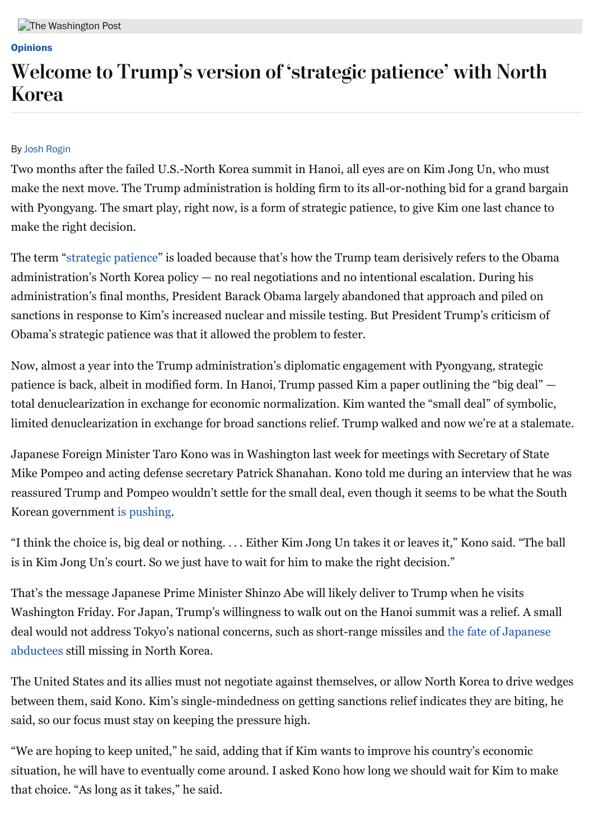#### **[Opinions](https://www.washingtonpost.com/opinions)**

# Welcome to Trump's version of 'strategic patience' with North Korea

### By Josh [Rogin](https://www.washingtonpost.com/people/josh-rogin/)

Two months after the failed U.S.-North Korea summit in Hanoi, all eyes are on Kim Jong Un, who must make the next move. The Trump administration is holding firm to its all-or-nothing bid for a grand bargain with Pyongyang. The smart play, right now, is a form of strategic patience, to give Kim one last chance to make the right decision.

The term "[strategic patience](https://www.brookings.edu/articles/strategic-patience-has-become-strategic-passivity/)" is loaded because that's how the Trump team derisively refers to the Obama administration's North Korea policy — no real negotiations and no intentional escalation. During his administration's final months, President Barack Obama largely abandoned that approach and piled on sanctions in response to Kim's increased nuclear and missile testing. But President Trump's criticism of Obama's strategic patience was that it allowed the problem to fester.

Now, almost a year into the Trump administration's diplomatic engagement with Pyongyang, strategic patience is back, albeit in modified form. In Hanoi, Trump passed Kim a paper outlining the "big deal" total denuclearization in exchange for economic normalization. Kim wanted the "small deal" of symbolic, limited denuclearization in exchange for broad sanctions relief. Trump walked and now we're at a stalemate.

Japanese Foreign Minister Taro Kono was in Washington last week for meetings with Secretary of State Mike Pompeo and acting defense secretary Patrick Shanahan. Kono told me during an interview that he was reassured Trump and Pompeo wouldn't settle for the small deal, even though it seems to be what the South Korean government [is pushing.](https://www.cbsnews.com/news/south-korean-president-moon-jae-in-appeals-to-trump-to-revive-peace-talks/)

"I think the choice is, big deal or nothing. . . . Either Kim Jong Un takes it or leaves it," Kono said. "The ball is in Kim Jong Un's court. So we just have to wait for him to make the right decision."

That's the message Japanese Prime Minister Shinzo Abe will likely deliver to Trump when he visits Washington Friday. For Japan, Trump's willingness to walk out on the Hanoi summit was a relief. A small [deal would not address Tokyo's national concerns, such as short-range missiles and the fate of Japanese](https://www.washingtonpost.com/amphtml/news/josh-rogin/wp/2018/05/03/japanese-abductee-families-to-trump-dont-forget-us/) abductees still missing in North Korea.

The United States and its allies must not negotiate against themselves, or allow North Korea to drive wedges between them, said Kono. Kim's single-mindedness on getting sanctions relief indicates they are biting, he said, so our focus must stay on keeping the pressure high.

"We are hoping to keep united," he said, adding that if Kim wants to improve his country's economic situation, he will have to eventually come around. I asked Kono how long we should wait for Kim to make that choice. "As long as it takes," he said.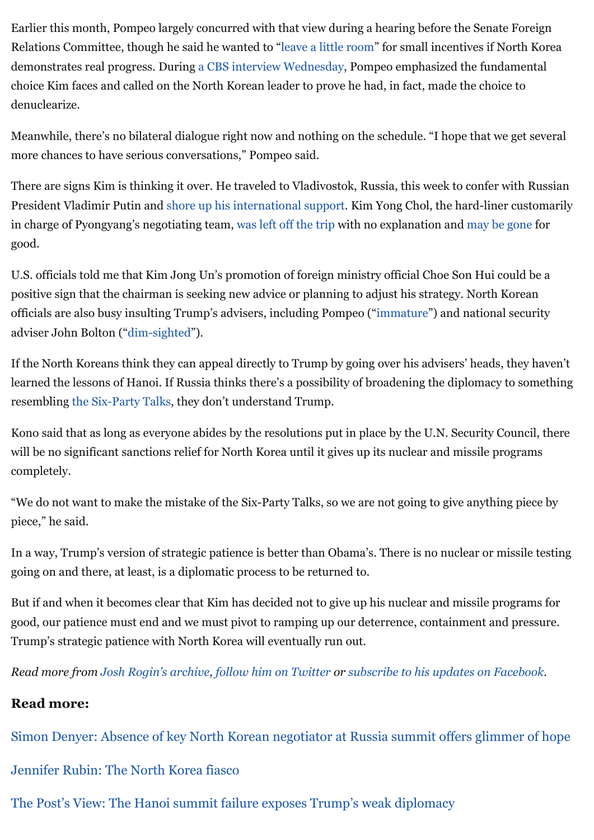Earlier this month, Pompeo largely concurred with that view during a hearing before the Senate Foreign Relations Committee, though he said he wanted to "[leave a little room](http://www.koreaherald.com/view.php?ud=20190411000101)" for small incentives if North Korea demonstrates real progress. During [a CBS interview Wednesday,](https://www.reuters.com/article/us-northkorea-usa-pompeo/pompeo-sees-bumpy-north-korea-talks-but-hopes-for-several-more-chances-idUSKCN1S02X1) Pompeo emphasized the fundamental choice Kim faces and called on the North Korean leader to prove he had, in fact, made the choice to denuclearize.

Meanwhile, there's no bilateral dialogue right now and nothing on the schedule. "I hope that we get several more chances to have serious conversations," Pompeo said.

There are signs Kim is thinking it over. He traveled to Vladivostok, Russia, this week to confer with Russian President Vladimir Putin and [shore up his international support.](https://www.washingtonpost.com/world/putin-arrives-in-russian-far-east-ahead-of-first-ever-summit-with-kim-jong-un/2019/04/24/a2d941f8-65c6-11e9-a698-2a8f808c9cfb_story.html) Kim Yong Chol, the hard-liner customarily in charge of Pyongyang's negotiating team, [was left off the trip](https://www.reuters.com/article/us-northkorea-usa-pompeo/pompeo-sees-bumpy-north-korea-talks-but-hopes-for-several-more-chances-idUSKCN1S02X1) with no explanation and [may be gone](https://www.washingtonpost.com/world/2019/04/25/absence-key-north-korean-negotiator-russia-summit-offers-glimmer-hope/?utm_term=.18a921e9b499) for good.

U.S. officials told me that Kim Jong Un's promotion of foreign ministry official Choe Son Hui could be a positive sign that the chairman is seeking new advice or planning to adjust his strategy. North Korean officials are also busy insulting Trump's advisers, including Pompeo (["immature](https://www.independent.co.uk/news/world/americas/us-politics/north-korea-pompeo-nuclear-talks-trump-us-kim-jong-un-missiles-a8875886.html)") and national security adviser John Bolton ("[dim-sighted"](https://www.reuters.com/article/us-usa-northkorea-bolton/north-korea-slams-boltons-dim-sighted-call-for-sign-of-denuclearization-idUSKCN1RW068)).

If the North Koreans think they can appeal directly to Trump by going over his advisers' heads, they haven't learned the lessons of Hanoi. If Russia thinks there's a possibility of broadening the diplomacy to something resembling [the Six-Party Talks,](https://www.reuters.com/article/us-northkorea-russia-kremlin/kremlin-six-party-talks-only-efficient-way-to-tackle-nuclear-north-korea-idUSKCN1S01BN) they don't understand Trump.

Kono said that as long as everyone abides by the resolutions put in place by the U.N. Security Council, there will be no significant sanctions relief for North Korea until it gives up its nuclear and missile programs completely.

"We do not want to make the mistake of the Six-Party Talks, so we are not going to give anything piece by piece," he said.

In a way, Trump's version of strategic patience is better than Obama's. There is no nuclear or missile testing going on and there, at least, is a diplomatic process to be returned to.

But if and when it becomes clear that Kim has decided not to give up his nuclear and missile programs for good, our patience must end and we must pivot to ramping up our deterrence, containment and pressure. Trump's strategic patience with North Korea will eventually run out.

*Read more from [Josh Rogin's archive](https://www.washingtonpost.com/people/josh-rogin), [follow him on Twitter](https://twitter.com/@joshrogin) or [subscribe to his updates on Facebook.](http://www.facebook.com/josh.rogin/)*

## **Read more:**

Simon Denyer: Absence of key North Korean [negotiator](https://www.washingtonpost.com/world/2019/04/25/absence-key-north-korean-negotiator-russia-summit-offers-glimmer-hope/?utm_term=.efa018a1a431) at Russia summit offers glimmer of hope

[Jennifer](https://www.washingtonpost.com/opinions/2019/03/25/north-korea-fiasco/?utm_term=.02b7734002c5) Rubin: The North Korea fiasco

The Post's View: The [Hanoi summit](https://www.washingtonpost.com/opinions/global-opinions/the-hanoi-summit-failure-exposes-trumps-weak-diplomacy/2019/02/28/d922fac0-3b63-11e9-a2cd-307b06d0257b_story.html?utm_term=.a22744dd40c7) failure exposes Trump's weak diplomacy